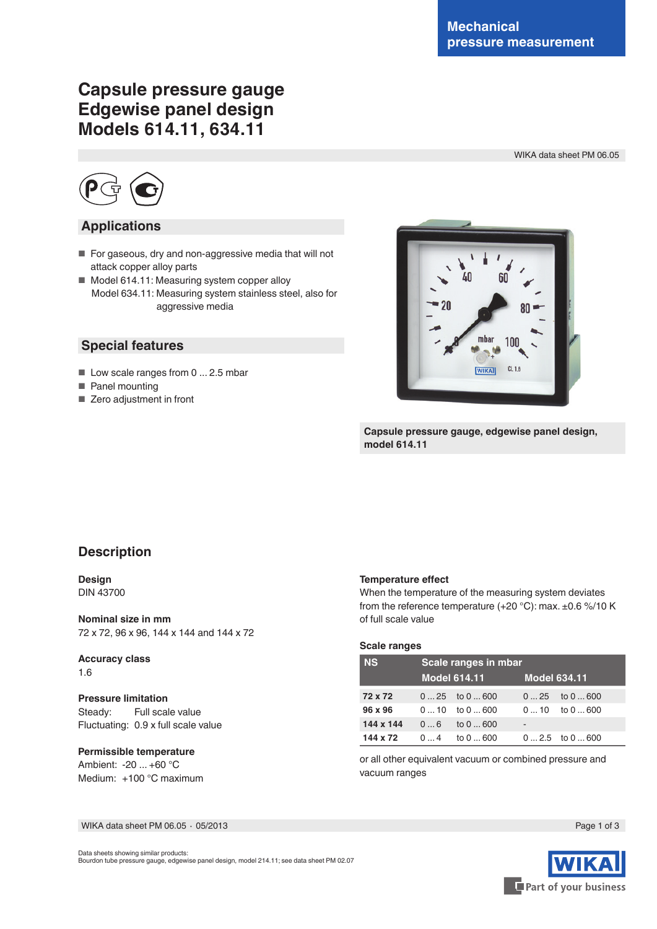# **Capsule pressure gauge Edgewise panel design Models 614.11, 634.11**

WIKA data sheet PM 06.05



### **Applications**

- For gaseous, dry and non-aggressive media that will not attack copper alloy parts
- Model 614.11: Measuring system copper alloy Model 634.11: Measuring system stainless steel, also for aggressive media

### **Special features**

- Low scale ranges from 0 ... 2.5 mbar
- Panel mounting
- Zero adjustment in front



**Capsule pressure gauge, edgewise panel design, model 614.11**

# **Description**

#### **Design** DIN 43700

**Nominal size in mm** 72 x 72, 96 x 96, 144 x 144 and 144 x 72

#### **Accuracy class** 1.6

**Pressure limitation** Steady: Full scale value Fluctuating: 0.9 x full scale value

#### **Permissible temperature** Ambient: -20 ... +60 °C Medium: +100 °C maximum

#### **Temperature effect**

When the temperature of the measuring system deviates from the reference temperature  $(+20 °C)$ : max.  $\pm 0.6 \% / 10 K$ of full scale value

### **Scale ranges**

| <b>NS</b> | Scale ranges in mbar |                     |                     |                  |  |  |  |  |
|-----------|----------------------|---------------------|---------------------|------------------|--|--|--|--|
|           |                      | <b>Model 614.11</b> | <b>Model 634.11</b> |                  |  |  |  |  |
| 72 x 72   |                      | $025$ to $0600$     |                     | $025$ to $0600$  |  |  |  |  |
| 96 x 96   |                      | $010$ to $0600$     |                     | $010$ to $0600$  |  |  |  |  |
| 144 x 144 |                      | $06$ to $0600$      |                     |                  |  |  |  |  |
| 144 x 72  |                      | $04$ to $0600$      |                     | $02.5$ to $0600$ |  |  |  |  |

or all other equivalent vacuum or combined pressure and vacuum ranges

WIKA data sheet PM 06.05 ⋅ 05/2013 Page 1 of 3

Data sheets showing similar products: Bourdon tube pressure gauge, edgewise panel design, model 214.11; see data sheet PM 02.07

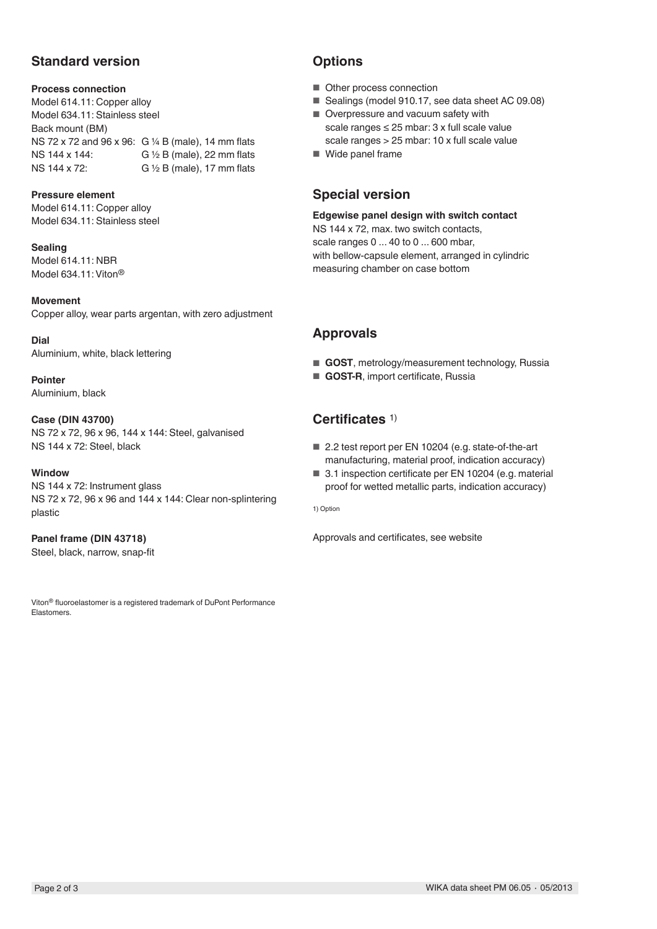# **Standard version**

#### **Process connection**

Model 614.11: Copper alloy Model 634.11: Stainless steel Back mount (BM) NS 72 x 72 and 96 x 96: G ¼ B (male), 14 mm flats NS 144 x 144: G ½ B (male), 22 mm flats NS 144 x 72: G ½ B (male), 17 mm flats

#### **Pressure element**

Model 614.11: Copper alloy Model 634.11: Stainless steel

**Sealing** Model 614.11: NBR Model 634.11: Viton®

**Movement** Copper alloy, wear parts argentan, with zero adjustment

**Dial** Aluminium, white, black lettering

**Pointer** Aluminium, black

#### **Case (DIN 43700)**

NS 72 x 72, 96 x 96, 144 x 144: Steel, galvanised NS 144 x 72: Steel, black

#### **Window**

NS 144 x 72: Instrument glass NS 72 x 72, 96 x 96 and 144 x 144: Clear non-splintering plastic

### **Panel frame (DIN 43718)**

Steel, black, narrow, snap-fit

Viton® fluoroelastomer is a registered trademark of DuPont Performance Elastomers.

# **Options**

- Other process connection
- Sealings (model 910.17, see data sheet AC 09.08)
- Overpressure and vacuum safety with scale ranges ≤ 25 mbar: 3 x full scale value scale ranges > 25 mbar: 10 x full scale value
- Wide panel frame

### **Special version**

**Edgewise panel design with switch contact** NS 144 x 72, max. two switch contacts,

scale ranges 0 ... 40 to 0 ... 600 mbar, with bellow-capsule element, arranged in cylindric

measuring chamber on case bottom

### **Approvals**

- **GOST**, metrology/measurement technology, Russia
- **GOST-R**, import certificate, Russia

# **Certificates** 1)

- 2.2 test report per EN 10204 (e.g. state-of-the-art manufacturing, material proof, indication accuracy)
- 3.1 inspection certificate per EN 10204 (e.g. material proof for wetted metallic parts, indication accuracy)

1) Option

Approvals and certificates, see website